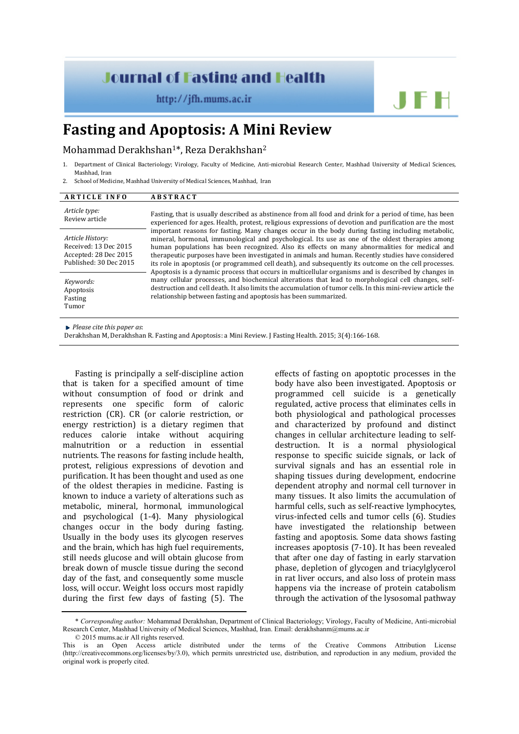## **Journal of Fasting and Health**

http://jfh.mums.ac.ir

## **Fasting and Apoptosis: A Mini Review**

## Mohammad Derakhshan<sup>1\*</sup>, Reza Derakhshan<sup>2</sup>

- 1. Department of Clinical Bacteriology; Virology, Faculty of Medicine, Anti-microbial Research Center, Mashhad University of Medical Sciences, Mashhad, Iran
- 2. School of Medicine, Mashhad University of Medical Sciences, Mashhad, Iran

| <b>ARTICLE INFO</b>                                                                          | <b>ABSTRACT</b>                                                                                                                                                                                                                                                                                                                                                                                                                                                                                                                                                                                                                                                                                                                                                                                                                                                                                                                                                                                                                                                                                                                             |
|----------------------------------------------------------------------------------------------|---------------------------------------------------------------------------------------------------------------------------------------------------------------------------------------------------------------------------------------------------------------------------------------------------------------------------------------------------------------------------------------------------------------------------------------------------------------------------------------------------------------------------------------------------------------------------------------------------------------------------------------------------------------------------------------------------------------------------------------------------------------------------------------------------------------------------------------------------------------------------------------------------------------------------------------------------------------------------------------------------------------------------------------------------------------------------------------------------------------------------------------------|
| Article type:<br>Review article                                                              | Fasting, that is usually described as abstinence from all food and drink for a period of time, has been<br>experienced for ages. Health, protest, religious expressions of devotion and purification are the most<br>important reasons for fasting. Many changes occur in the body during fasting including metabolic.<br>mineral, hormonal, immunological and psychological. Its use as one of the oldest therapies among<br>human populations has been recognized. Also its effects on many abnormalities for medical and<br>therapeutic purposes have been investigated in animals and human. Recently studies have considered<br>its role in apoptosis (or programmed cell death), and subsequently its outcome on the cell processes.<br>Apoptosis is a dynamic process that occurs in multicellular organisms and is described by changes in<br>many cellular processes, and biochemical alterations that lead to morphological cell changes, self-<br>destruction and cell death. It also limits the accumulation of tumor cells. In this mini-review article the<br>relationship between fasting and apoptosis has been summarized. |
| Article History:<br>Received: 13 Dec 2015<br>Accepted: 28 Dec 2015<br>Published: 30 Dec 2015 |                                                                                                                                                                                                                                                                                                                                                                                                                                                                                                                                                                                                                                                                                                                                                                                                                                                                                                                                                                                                                                                                                                                                             |
| Keywords:<br>Apoptosis<br>Fasting<br>Tumor                                                   |                                                                                                                                                                                                                                                                                                                                                                                                                                                                                                                                                                                                                                                                                                                                                                                                                                                                                                                                                                                                                                                                                                                                             |

*Please cite this paper as*:

Derakhshan M[, Derakhshan](http://jfh.mums.ac.ir/?_action=article&au=58078&_au=Reza++Derakhshan) R. Fasting and Apoptosis: a Mini Review. J Fasting Health. 2015; 3(4):166-168.

Fasting is principally a self-discipline action that is taken for a specified amount of time without consumption of food or drink and represents one specific form of caloric restriction (CR). CR (or calorie restriction, or energy restriction) is a dietary regimen that reduces calorie intake without acquiring malnutrition or a reduction in essential nutrients. The reasons for fasting include health, protest, religious expressions of devotion and purification. It has been thought and used as one of the oldest therapies in medicine. Fasting is known to induce a variety of alterations such as metabolic, mineral, hormonal, immunological and psychological (1-4). Many physiological changes occur in the body during fasting. Usually in the body uses its glycogen reserves and the brain, which has high fuel requirements, still needs glucose and will obtain glucose from break down of muscle tissue during the second day of the fast, and consequently some muscle loss, will occur. Weight loss occurs most rapidly during the first few days of fasting (5). The

effects of fasting on apoptotic processes in the body have also been investigated. Apoptosis or programmed cell suicide is a genetically regulated, active process that eliminates cells in both physiological and pathological processes and characterized by profound and distinct changes in cellular architecture leading to selfdestruction. It is a normal physiological response to specific suicide signals, or lack of survival signals and has an essential role in shaping tissues during development, endocrine dependent atrophy and normal cell turnover in many tissues. It also limits the accumulation of harmful cells, such as self-reactive lymphocytes, virus-infected cells and tumor cells (6). Studies have investigated the relationship between fasting and apoptosis. Some data shows fasting increases apoptosis (7-10). It has been revealed that after one day of fasting in early starvation phase, depletion of glycogen and triacylglycerol in rat liver occurs, and also loss of protein mass happens via the increase of protein catabolism through the activation of the lysosomal pathway

<sup>\*</sup> *Corresponding author:* Mohammad Derakhshan, Department of Clinical Bacteriology; Virology, Faculty of Medicine, Anti-microbial Research Center, Mashhad University of Medical Sciences, Mashhad, Iran. Email[: derakhshanm@mums.ac.ir](mailto:derakhshanm@mums.ac.ir)

<sup>© 2015</sup> mums.ac.ir All rights reserved.

This is an Open Access article distributed under the terms of the Creative Commons Attribution License (http://creativecommons.org/licenses/by/3.0), which permits unrestricted use, distribution, and reproduction in any medium, provided the original work is properly cited.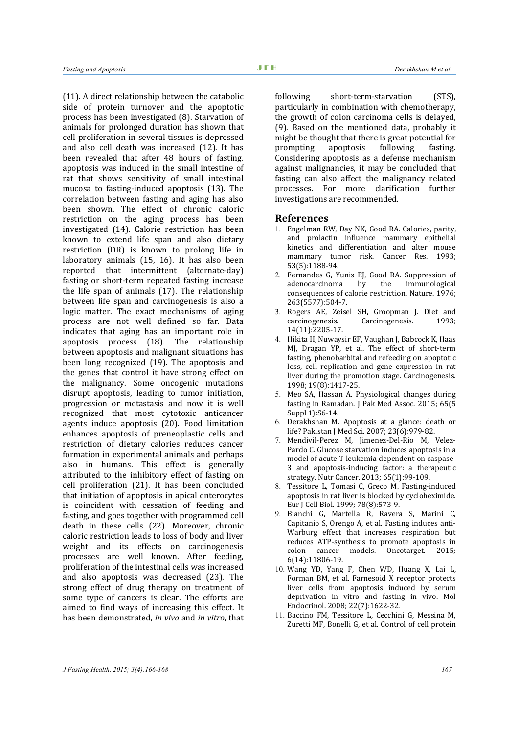(11). A direct relationship between the catabolic side of protein turnover and the apoptotic process has been investigated (8). Starvation of animals for prolonged duration has shown that cell proliferation in several tissues is depressed and also cell death was increased (12). It has been revealed that after 48 hours of fasting, apoptosis was induced in the small intestine of rat that shows sensitivity of small intestinal mucosa to fasting-induced apoptosis (13). The correlation between fasting and aging has also been shown. The effect of chronic caloric restriction on the aging process has been investigated (14). Calorie restriction has been known to extend life span and also dietary restriction (DR) is known to prolong life in laboratory animals (15, 16). It has also been reported that intermittent (alternate-day) fasting or short-term repeated fasting increase the life span of animals (17). The relationship between life span and carcinogenesis is also a logic matter. The exact mechanisms of aging process are not well defined so far. Data indicates that aging has an important role in apoptosis process (18). The relationship between apoptosis and malignant situations has been long recognized (19). The apoptosis and the genes that control it have strong effect on the malignancy. Some oncogenic mutations

disrupt apoptosis, leading to tumor initiation, progression or metastasis and now it is well recognized that most cytotoxic anticancer agents induce apoptosis (20). Food limitation enhances apoptosis of preneoplastic cells and restriction of dietary calories reduces cancer formation in experimental animals and perhaps also in humans. This effect is generally attributed to the inhibitory effect of fasting on cell proliferation (21). It has been concluded that initiation of apoptosis in apical enterocytes is coincident with cessation of feeding and fasting, and goes together with programmed cell death in these cells (22). Moreover, chronic caloric restriction leads to loss of body and liver weight and its effects on carcinogenesis processes are well known. After feeding, proliferation of the intestinal cells was increased and also apoptosis was decreased (23). The strong effect of drug therapy on treatment of some type of cancers is clear. The efforts are aimed to find ways of increasing this effect. It

has been demonstrated, *in vivo* and *in vitro*, that

following short-term-starvation (STS), particularly in combination with chemotherapy, the growth of colon carcinoma cells is delayed, (9). Based on the mentioned data, probably it might be thought that there is great potential for<br>prompting apoptosis following fasting. apoptosis Considering apoptosis as a defense mechanism against malignancies, it may be concluded that fasting can also affect the malignancy related processes. For more clarification further investigations are recommended.

## **References**

- 1. Engelman RW, Day NK, Good RA. Calories, parity, and prolactin influence mammary epithelial kinetics and differentiation and alter mouse mammary tumor risk. Cancer Res. 1993; 53(5):1188-94.
- 2. Fernandes G, Yunis EJ, Good RA. Suppression of adenocarcinoma by the immunological by the immunological consequences of calorie restriction. Nature. 1976; 263(5577):504-7.
- 3. Rogers AE, Zeisel SH, Groopman J. Diet and Carcinogenesis. 14(11):2205-17.
- 4. Hikita H, Nuwaysir EF, Vaughan J, Babcock K, Haas MJ, Dragan YP, et al. The effect of short-term fasting, phenobarbital and refeeding on apoptotic loss, cell replication and gene expression in rat liver during the promotion stage. Carcinogenesis. 1998; 19(8):1417-25.
- 5. Meo SA, Hassan A. Physiological changes during fasting in Ramadan. J Pak Med Assoc. 2015; 65(5) Suppl 1):S6-14.
- 6. Derakhshan M. Apoptosis at a glance: death or life? Pakistan J Med Sci. 2007; 23(6):979-82.
- 7. Mendivil-Perez M, Jimenez-Del-Rio M, Velez-Pardo C. Glucose starvation induces apoptosis in a model of acute T leukemia dependent on caspase-3 and apoptosis-inducing factor: a therapeutic strategy. Nutr Cancer. 2013; 65(1):99-109.
- 8. Tessitore L, Tomasi C, Greco M. Fasting-induced apoptosis in rat liver is blocked by cycloheximide. Eur J Cell Biol. 1999; 78(8):573-9.
- 9. Bianchi G, Martella R, Ravera S, Marini C, Capitanio S, Orengo A, et al. Fasting induces anti-Warburg effect that increases respiration but reduces ATP-synthesis to promote apoptosis in colon cancer models. Oncotarget. 2015; 6(14):11806-19.
- 10. Wang YD, Yang F, Chen WD, Huang X, Lai L, Forman BM, et al. Farnesoid X receptor protects liver cells from apoptosis induced by serum deprivation in vitro and fasting in vivo. Mol Endocrinol. 2008; 22(7):1622-32.
- 11. Baccino FM, Tessitore L, Cecchini G, Messina M, Zuretti MF, Bonelli G, et al. Control of cell protein